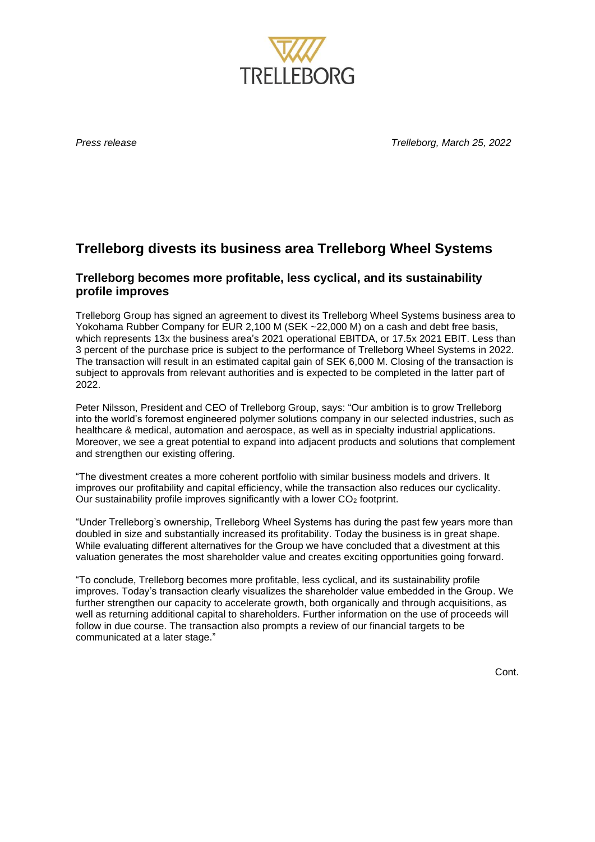

*Press release Trelleborg, March 25, 2022*

# **Trelleborg divests its business area Trelleborg Wheel Systems**

## **Trelleborg becomes more profitable, less cyclical, and its sustainability profile improves**

Trelleborg Group has signed an agreement to divest its Trelleborg Wheel Systems business area to Yokohama Rubber Company for EUR 2,100 M (SEK ~22,000 M) on a cash and debt free basis, which represents 13x the business area's 2021 operational EBITDA, or 17.5x 2021 EBIT. Less than 3 percent of the purchase price is subject to the performance of Trelleborg Wheel Systems in 2022. The transaction will result in an estimated capital gain of SEK 6,000 M. Closing of the transaction is subject to approvals from relevant authorities and is expected to be completed in the latter part of 2022.

Peter Nilsson, President and CEO of Trelleborg Group, says: "Our ambition is to grow Trelleborg into the world's foremost engineered polymer solutions company in our selected industries, such as healthcare & medical, automation and aerospace, as well as in specialty industrial applications. Moreover, we see a great potential to expand into adjacent products and solutions that complement and strengthen our existing offering.

"The divestment creates a more coherent portfolio with similar business models and drivers. It improves our profitability and capital efficiency, while the transaction also reduces our cyclicality. Our sustainability profile improves significantly with a lower CO<sub>2</sub> footprint.

"Under Trelleborg's ownership, Trelleborg Wheel Systems has during the past few years more than doubled in size and substantially increased its profitability. Today the business is in great shape. While evaluating different alternatives for the Group we have concluded that a divestment at this valuation generates the most shareholder value and creates exciting opportunities going forward.

"To conclude, Trelleborg becomes more profitable, less cyclical, and its sustainability profile improves. Today's transaction clearly visualizes the shareholder value embedded in the Group. We further strengthen our capacity to accelerate growth, both organically and through acquisitions, as well as returning additional capital to shareholders. Further information on the use of proceeds will follow in due course. The transaction also prompts a review of our financial targets to be communicated at a later stage."